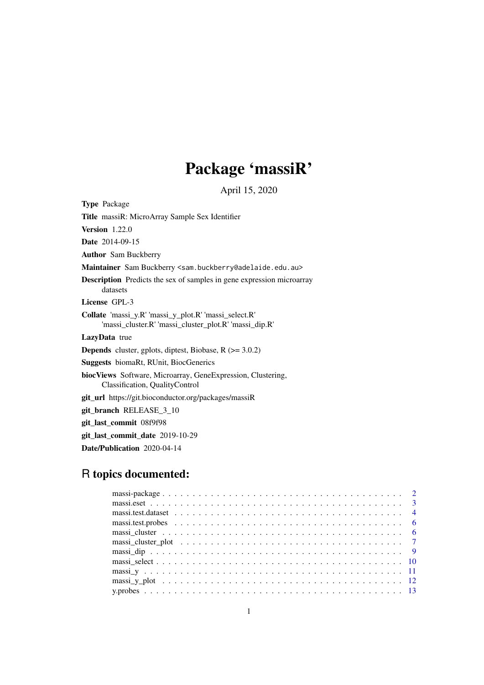# Package 'massiR'

April 15, 2020

Type Package

Title massiR: MicroArray Sample Sex Identifier

Version 1.22.0

Date 2014-09-15

Author Sam Buckberry

Maintainer Sam Buckberry <sam.buckberry@adelaide.edu.au>

Description Predicts the sex of samples in gene expression microarray datasets

License GPL-3

Collate 'massi\_y.R' 'massi\_y\_plot.R' 'massi\_select.R' 'massi\_cluster.R' 'massi\_cluster\_plot.R' 'massi\_dip.R'

LazyData true

**Depends** cluster, gplots, diptest, Biobase,  $R$  ( $>= 3.0.2$ )

Suggests biomaRt, RUnit, BiocGenerics

biocViews Software, Microarray, GeneExpression, Clustering, Classification, QualityControl

git\_url https://git.bioconductor.org/packages/massiR

git\_branch RELEASE\_3\_10

git\_last\_commit 08f9f98

git last commit date 2019-10-29

Date/Publication 2020-04-14

# R topics documented: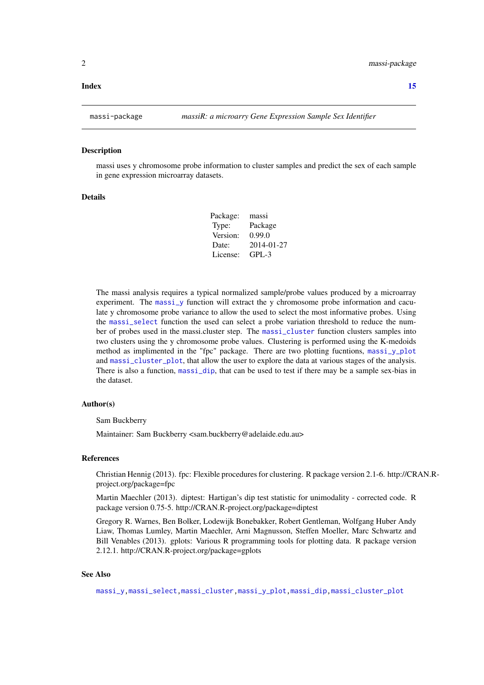#### <span id="page-1-0"></span>**Index** [15](#page-14-0)

#### Description

massi uses y chromosome probe information to cluster samples and predict the sex of each sample in gene expression microarray datasets.

#### Details

| Package: | massi      |
|----------|------------|
| Type:    | Package    |
| Version: | 0.99.0     |
| Date:    | 2014-01-27 |
| License: | $GPI - 3$  |

The massi analysis requires a typical normalized sample/probe values produced by a microarray experiment. The [massi\\_y](#page-10-1) function will extract the y chromosome probe information and caculate y chromosome probe variance to allow the used to select the most informative probes. Using the [massi\\_select](#page-9-1) function the used can select a probe variation threshold to reduce the number of probes used in the massi.cluster step. The [massi\\_cluster](#page-5-1) function clusters samples into two clusters using the y chromosome probe values. Clustering is performed using the K-medoids method as implimented in the "fpc" package. There are two plotting fucntions, [massi\\_y\\_plot](#page-11-1) and [massi\\_cluster\\_plot](#page-6-1), that allow the user to explore the data at various stages of the analysis. There is also a function, [massi\\_dip](#page-8-1), that can be used to test if there may be a sample sex-bias in the dataset.

# Author(s)

Sam Buckberry

Maintainer: Sam Buckberry <sam.buckberry@adelaide.edu.au>

#### References

Christian Hennig (2013). fpc: Flexible procedures for clustering. R package version 2.1-6. http://CRAN.Rproject.org/package=fpc

Martin Maechler (2013). diptest: Hartigan's dip test statistic for unimodality - corrected code. R package version 0.75-5. http://CRAN.R-project.org/package=diptest

Gregory R. Warnes, Ben Bolker, Lodewijk Bonebakker, Robert Gentleman, Wolfgang Huber Andy Liaw, Thomas Lumley, Martin Maechler, Arni Magnusson, Steffen Moeller, Marc Schwartz and Bill Venables (2013). gplots: Various R programming tools for plotting data. R package version 2.12.1. http://CRAN.R-project.org/package=gplots

# See Also

[massi\\_y](#page-10-1)[,massi\\_select,](#page-9-1)[massi\\_cluster,](#page-5-1)[massi\\_y\\_plot](#page-11-1)[,massi\\_dip](#page-8-1)[,massi\\_cluster\\_plot](#page-6-1)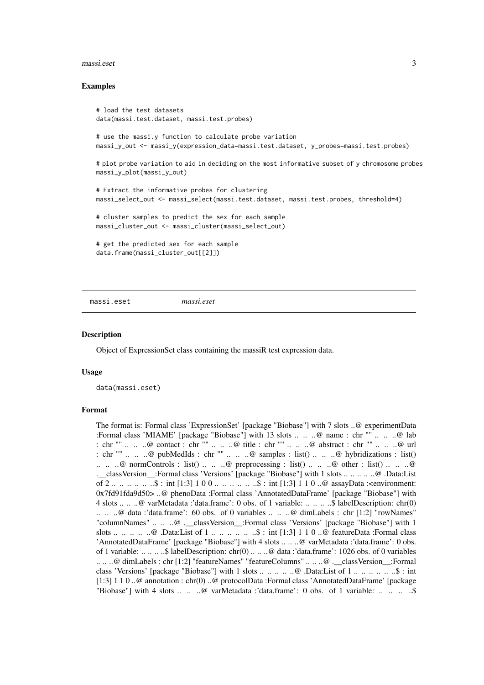#### <span id="page-2-0"></span>massi.eset 3

#### Examples

# load the test datasets data(massi.test.dataset, massi.test.probes)

# use the massi.y function to calculate probe variation massi\_y\_out <- massi\_y(expression\_data=massi.test.dataset, y\_probes=massi.test.probes)

# plot probe variation to aid in deciding on the most informative subset of y chromosome probes massi\_y\_plot(massi\_y\_out)

# Extract the informative probes for clustering massi\_select\_out <- massi\_select(massi.test.dataset, massi.test.probes, threshold=4) # cluster samples to predict the sex for each sample massi\_cluster\_out <- massi\_cluster(massi\_select\_out)

# get the predicted sex for each sample data.frame(massi\_cluster\_out[[2]])

massi.eset *massi.eset*

#### Description

Object of ExpressionSet class containing the massiR test expression data.

#### Usage

data(massi.eset)

#### Format

The format is: Formal class 'ExpressionSet' [package "Biobase"] with 7 slots ..@ experimentData :Formal class 'MIAME' [package "Biobase"] with 13 slots .. .. ..@ name : chr "" .. .. ..@ lab : chr "" .. .. ..@ contact : chr "" .. .. ..@ title : chr "" .. .. ..@ abstract : chr "" .. .. ..@ url : chr "" .. .. ..@ pubMedIds : chr "" .. .. ..@ samples : list() .. .. ..@ hybridizations : list() ... ..  $\emptyset$  normControls : list() ... ..  $\emptyset$  preprocessing : list() ... ..  $\emptyset$  other : list() ... ..  $\emptyset$ .\_\_classVersion\_\_:Formal class 'Versions' [package "Biobase"] with 1 slots .. .. .. .. ..@ .Data:List of 2 .. .. .. .. .. \$ : int [1:3] 1 0 0 .. .. .. .. .. \$ : int [1:3] 1 1 0 ..@ assayData :<environment: 0x7fd91fda9d50> ..@ phenoData :Formal class 'AnnotatedDataFrame' [package "Biobase"] with 4 slots .. .. ..@ varMetadata :'data.frame': 0 obs. of 1 variable: .. .. .. ..\$ labelDescription: chr(0) .. .. ..@ data :'data.frame': 60 obs. of 0 variables .. .. ..@ dimLabels : chr [1:2] "rowNames" "columnNames" .. .. ..@ .\_\_classVersion\_\_:Formal class 'Versions' [package "Biobase"] with 1 slots .. .. .. .. @ .Data:List of 1 .. .. .. .. .. \$ : int [1:3] 1 1 0 ..@ featureData :Formal class 'AnnotatedDataFrame' [package "Biobase"] with 4 slots .. .. ..@ varMetadata :'data.frame': 0 obs. of 1 variable: .. .. .. ..\$ labelDescription: chr(0) .. .. ..@ data :'data.frame': 1026 obs. of 0 variables .. .. ..@ dimLabels : chr [1:2] "featureNames" "featureColumns" .. .. ..@ .\_\_classVersion\_\_:Formal class 'Versions' [package "Biobase"] with 1 slots .. .. .. .. ..@ .Data:List of 1 .. .. .. .. .. ..\$ : int [1:3] 1 1 0 ..@ annotation : chr(0) ..@ protocolData :Formal class 'AnnotatedDataFrame' [package "Biobase"] with 4 slots .. .. ..@ varMetadata :'data.frame': 0 obs. of 1 variable: .. .. ... ...\$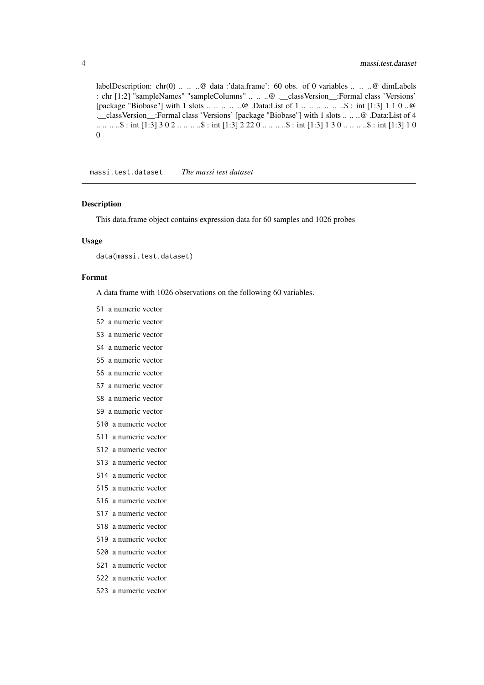labelDescription: chr(0) .. .. ..@ data :'data.frame': 60 obs. of 0 variables .. .. ..@ dimLabels : chr [1:2] "sampleNames" "sampleColumns" .. .. ..@ .\_\_classVersion\_\_:Formal class 'Versions' [package "Biobase"] with 1 slots .. .. .. .. ..@ .Data:List of 1 .. .. .. .. .. ..\$ : int [1:3] 1 1 0 ..@ .\_\_classVersion\_\_:Formal class 'Versions' [package "Biobase"] with 1 slots .. .. ..@ .Data:List of 4 .. .. .. ..\$ : int [1:3] 3 0 2 .. .. .. ..\$ : int [1:3] 2 22 0 .. .. .. ..\$ : int [1:3] 1 3 0 .. .. .. ..\$ : int [1:3] 1 0 0

massi.test.dataset *The massi test dataset*

#### Description

This data.frame object contains expression data for 60 samples and 1026 probes

#### Usage

data(massi.test.dataset)

#### Format

A data frame with 1026 observations on the following 60 variables.

- S1 a numeric vector
- S2 a numeric vector
- S3 a numeric vector
- S4 a numeric vector
- S5 a numeric vector
- S6 a numeric vector
- S7 a numeric vector
- S8 a numeric vector
- S9 a numeric vector
- S10 a numeric vector
- S11 a numeric vector
- S12 a numeric vector
- S13 a numeric vector
- S14 a numeric vector
- S15 a numeric vector
- S16 a numeric vector
- S17 a numeric vector
- S18 a numeric vector
- S19 a numeric vector
- S20 a numeric vector
- S21 a numeric vector
- S22 a numeric vector
- S23 a numeric vector

<span id="page-3-0"></span>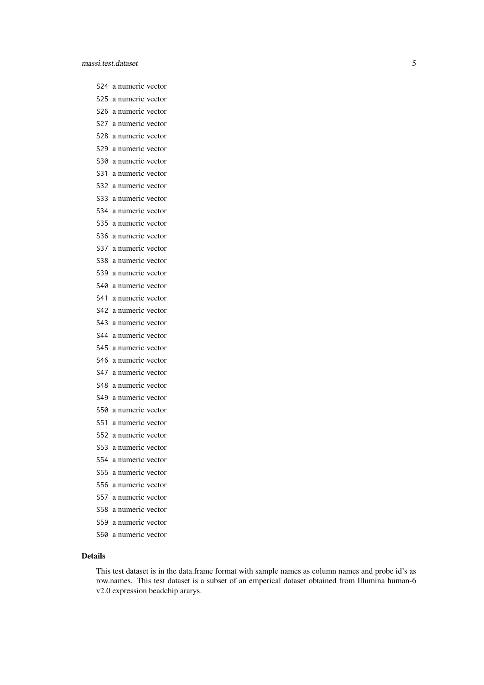S24 a numeric vector S25 a numeric vector S26 a numeric vector S27 a numeric vector S28 a numeric vector S29 a numeric vector S30 a numeric vector S31 a numeric vector S32 a numeric vector S33 a numeric vector S34 a numeric vector S35 a numeric vector S36 a numeric vector S37 a numeric vector S38 a numeric vector S39 a numeric vector S40 a numeric vector S41 a numeric vector S42 a numeric vector S43 a numeric vector S44 a numeric vector S45 a numeric vector S46 a numeric vector S47 a numeric vector S48 a numeric vector S49 a numeric vector S50 a numeric vector S51 a numeric vector S52 a numeric vector S53 a numeric vector S54 a numeric vector S55 a numeric vector S56 a numeric vector S57 a numeric vector S58 a numeric vector S59 a numeric vector S60 a numeric vector

#### Details

This test dataset is in the data.frame format with sample names as column names and probe id's as row.names. This test dataset is a subset of an emperical dataset obtained from Illumina human-6 v2.0 expression beadchip ararys.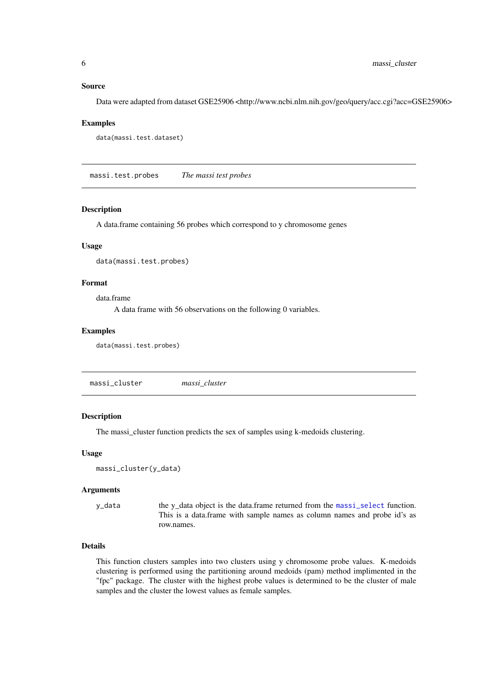#### <span id="page-5-0"></span>Source

Data were adapted from dataset GSE25906 <http://www.ncbi.nlm.nih.gov/geo/query/acc.cgi?acc=GSE25906>

#### Examples

```
data(massi.test.dataset)
```
massi.test.probes *The massi test probes*

# Description

A data.frame containing 56 probes which correspond to y chromosome genes

# Usage

```
data(massi.test.probes)
```
# Format

data.frame

A data frame with 56 observations on the following 0 variables.

#### Examples

data(massi.test.probes)

<span id="page-5-1"></span>massi\_cluster *massi\_cluster*

# Description

The massi\_cluster function predicts the sex of samples using k-medoids clustering.

#### Usage

```
massi_cluster(y_data)
```
#### Arguments

y\_data the y\_data object is the data.frame returned from the [massi\\_select](#page-9-1) function. This is a data.frame with sample names as column names and probe id's as row.names.

# Details

This function clusters samples into two clusters using y chromosome probe values. K-medoids clustering is performed using the partitioning around medoids (pam) method implimented in the "fpc" package. The cluster with the highest probe values is determined to be the cluster of male samples and the cluster the lowest values as female samples.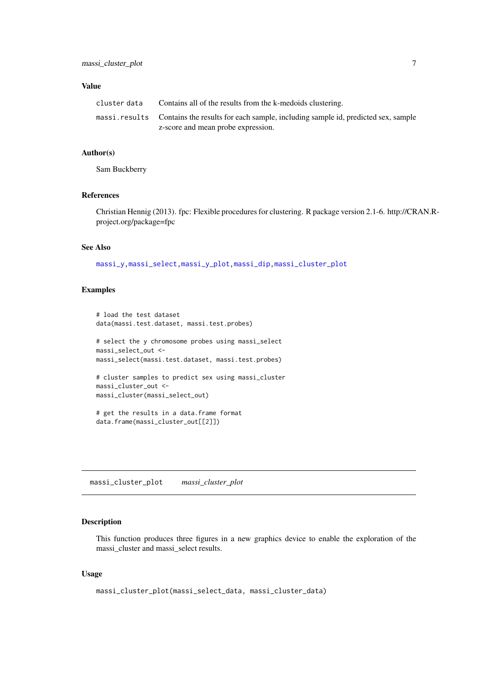## <span id="page-6-0"></span>Value

| cluster data | Contains all of the results from the k-medoids clustering.                                     |
|--------------|------------------------------------------------------------------------------------------------|
|              | massi.results Contains the results for each sample, including sample id, predicted sex, sample |
|              | z-score and mean probe expression.                                                             |

#### Author(s)

Sam Buckberry

# References

Christian Hennig (2013). fpc: Flexible procedures for clustering. R package version 2.1-6. http://CRAN.Rproject.org/package=fpc

# See Also

[massi\\_y](#page-10-1)[,massi\\_select,](#page-9-1)[massi\\_y\\_plot,](#page-11-1)[massi\\_dip,](#page-8-1)[massi\\_cluster\\_plot](#page-6-1)

# Examples

```
# load the test dataset
data(massi.test.dataset, massi.test.probes)
# select the y chromosome probes using massi_select
massi_select_out <-
massi_select(massi.test.dataset, massi.test.probes)
# cluster samples to predict sex using massi_cluster
massi_cluster_out <-
massi_cluster(massi_select_out)
```

```
# get the results in a data.frame format
data.frame(massi_cluster_out[[2]])
```
<span id="page-6-1"></span>massi\_cluster\_plot *massi\_cluster\_plot*

# Description

This function produces three figures in a new graphics device to enable the exploration of the massi\_cluster and massi\_select results.

# Usage

```
massi_cluster_plot(massi_select_data, massi_cluster_data)
```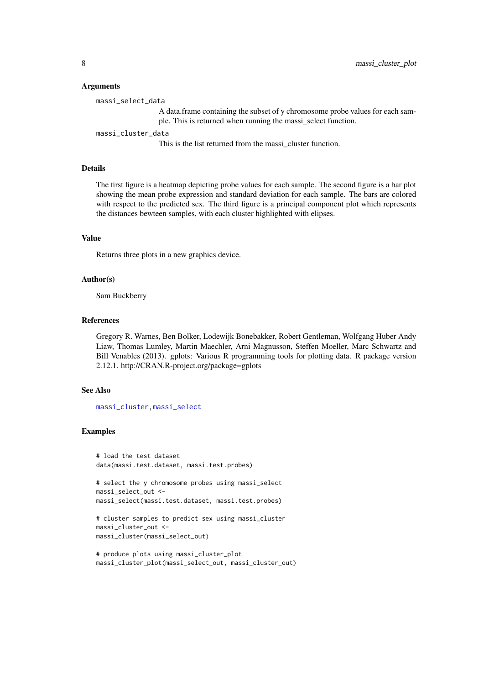#### Arguments

massi\_select\_data

A data.frame containing the subset of y chromosome probe values for each sample. This is returned when running the massi\_select function.

massi\_cluster\_data

This is the list returned from the massi\_cluster function.

# Details

The first figure is a heatmap depicting probe values for each sample. The second figure is a bar plot showing the mean probe expression and standard deviation for each sample. The bars are colored with respect to the predicted sex. The third figure is a principal component plot which represents the distances bewteen samples, with each cluster highlighted with elipses.

#### Value

Returns three plots in a new graphics device.

#### Author(s)

Sam Buckberry

# References

Gregory R. Warnes, Ben Bolker, Lodewijk Bonebakker, Robert Gentleman, Wolfgang Huber Andy Liaw, Thomas Lumley, Martin Maechler, Arni Magnusson, Steffen Moeller, Marc Schwartz and Bill Venables (2013). gplots: Various R programming tools for plotting data. R package version 2.12.1. http://CRAN.R-project.org/package=gplots

#### See Also

[massi\\_cluster](#page-5-1)[,massi\\_select](#page-9-1)

#### Examples

```
# load the test dataset
data(massi.test.dataset, massi.test.probes)
```

```
# select the y chromosome probes using massi_select
massi_select_out <-
massi_select(massi.test.dataset, massi.test.probes)
```

```
# cluster samples to predict sex using massi_cluster
massi_cluster_out <-
massi_cluster(massi_select_out)
```

```
# produce plots using massi_cluster_plot
massi_cluster_plot(massi_select_out, massi_cluster_out)
```
<span id="page-7-0"></span>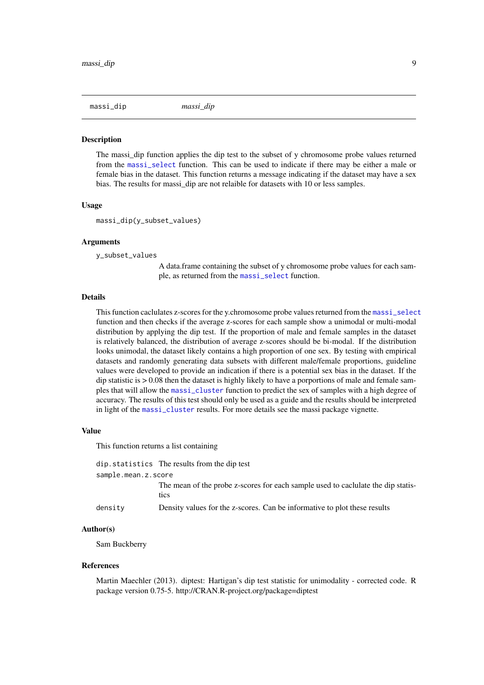<span id="page-8-1"></span><span id="page-8-0"></span>massi\_dip *massi\_dip*

#### Description

The massi\_dip function applies the dip test to the subset of y chromosome probe values returned from the [massi\\_select](#page-9-1) function. This can be used to indicate if there may be either a male or female bias in the dataset. This function returns a message indicating if the dataset may have a sex bias. The results for massi\_dip are not relaible for datasets with 10 or less samples.

#### Usage

massi\_dip(y\_subset\_values)

#### Arguments

y\_subset\_values

A data.frame containing the subset of y chromosome probe values for each sample, as returned from the [massi\\_select](#page-9-1) function.

#### Details

This function caclulates z-scores for the y.chromosome probe values returned from the [massi\\_select](#page-9-1) function and then checks if the average z-scores for each sample show a unimodal or multi-modal distribution by applying the dip test. If the proportion of male and female samples in the dataset is relatively balanced, the distribution of average z-scores should be bi-modal. If the distribution looks unimodal, the dataset likely contains a high proportion of one sex. By testing with empirical datasets and randomly generating data subsets with different male/female proportions, guideline values were developed to provide an indication if there is a potential sex bias in the dataset. If the dip statistic is  $> 0.08$  then the dataset is highly likely to have a porportions of male and female samples that will allow the [massi\\_cluster](#page-5-1) function to predict the sex of samples with a high degree of accuracy. The results of this test should only be used as a guide and the results should be interpreted in light of the [massi\\_cluster](#page-5-1) results. For more details see the massi package vignette.

#### Value

This function returns a list containing

|                     | dip. statistics The results from the dip test                                            |
|---------------------|------------------------------------------------------------------------------------------|
| sample.mean.z.score |                                                                                          |
|                     | The mean of the probe z-scores for each sample used to caclulate the dip statis-<br>tics |
| density             | Density values for the z-scores. Can be informative to plot these results                |

#### Author(s)

Sam Buckberry

#### References

Martin Maechler (2013). diptest: Hartigan's dip test statistic for unimodality - corrected code. R package version 0.75-5. http://CRAN.R-project.org/package=diptest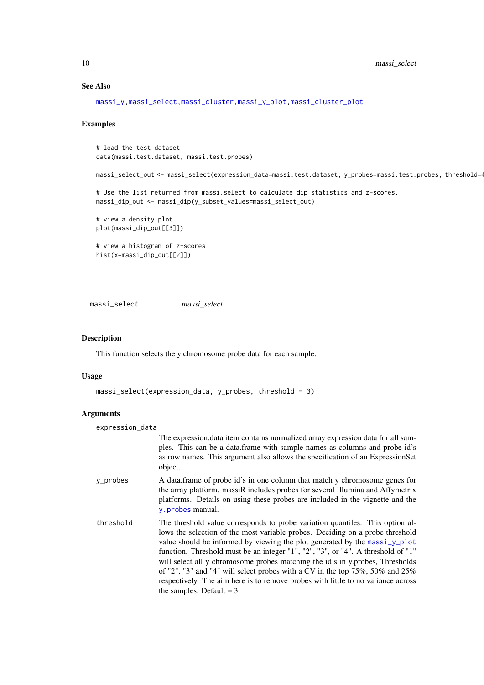<span id="page-9-0"></span>10 massi\_select

# See Also

```
massi_y,massi_select,massi_cluster,massi_y_plot,massi_cluster_plot
```
# Examples

# load the test dataset data(massi.test.dataset, massi.test.probes) massi\_select\_out <- massi\_select(expression\_data=massi.test.dataset, y\_probes=massi.test.probes, threshold=4) # Use the list returned from massi.select to calculate dip statistics and z-scores. massi\_dip\_out <- massi\_dip(y\_subset\_values=massi\_select\_out) # view a density plot plot(massi\_dip\_out[[3]]) # view a histogram of z-scores hist(x=massi\_dip\_out[[2]])

<span id="page-9-1"></span>massi\_select *massi\_select*

#### Description

This function selects the y chromosome probe data for each sample.

#### Usage

```
massi_select(expression_data, y_probes, threshold = 3)
```
# Arguments

| expression_data |                                                                                                                                                                                                                                                                                                                                                                                                                                                                                                                                                                                                                                |
|-----------------|--------------------------------------------------------------------------------------------------------------------------------------------------------------------------------------------------------------------------------------------------------------------------------------------------------------------------------------------------------------------------------------------------------------------------------------------------------------------------------------------------------------------------------------------------------------------------------------------------------------------------------|
|                 | The expression data item contains normalized array expression data for all sam-<br>ples. This can be a data frame with sample names as columns and probe id's<br>as row names. This argument also allows the specification of an ExpressionSet<br>object.                                                                                                                                                                                                                                                                                                                                                                      |
| y_probes        | A data frame of probe id's in one column that match y chromosome genes for<br>the array platform. massiR includes probes for several Illumina and Affymetrix<br>platforms. Details on using these probes are included in the vignette and the<br>y.probes manual.                                                                                                                                                                                                                                                                                                                                                              |
| threshold       | The threshold value corresponds to probe variation quantiles. This option al-<br>lows the selection of the most variable probes. Deciding on a probe threshold<br>value should be informed by viewing the plot generated by the massi_y_plot<br>function. Threshold must be an integer "1", "2", "3", or "4". A threshold of "1"<br>will select all y chromosome probes matching the id's in y probes, Thresholds<br>of "2", "3" and "4" will select probes with a CV in the top $75\%$ , $50\%$ and $25\%$<br>respectively. The aim here is to remove probes with little to no variance across<br>the samples. Default $=$ 3. |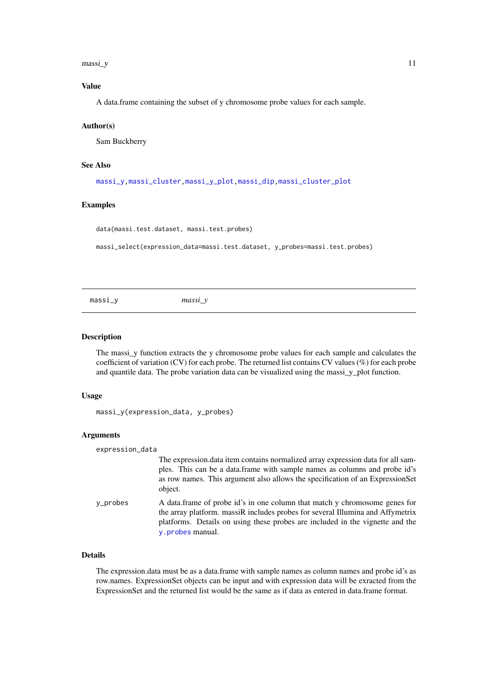<span id="page-10-0"></span> $massi$  y and  $11$ 

# Value

A data.frame containing the subset of y chromosome probe values for each sample.

#### Author(s)

Sam Buckberry

# See Also

```
massi_y,massi_cluster,massi_y_plot,massi_dip,massi_cluster_plot
```
#### Examples

data(massi.test.dataset, massi.test.probes)

massi\_select(expression\_data=massi.test.dataset, y\_probes=massi.test.probes)

<span id="page-10-1"></span>massi\_y *massi\_y*

#### Description

The massi y function extracts the y chromosome probe values for each sample and calculates the coefficient of variation (CV) for each probe. The returned list contains CV values (%) for each probe and quantile data. The probe variation data can be visualized using the massi\_y\_plot function.

# Usage

massi\_y(expression\_data, y\_probes)

#### Arguments

| expression_data |                                                                                                                                                                                                                                                                   |
|-----------------|-------------------------------------------------------------------------------------------------------------------------------------------------------------------------------------------------------------------------------------------------------------------|
|                 | The expression data item contains normalized array expression data for all sam-<br>ples. This can be a data frame with sample names as columns and probe id's<br>as row names. This argument also allows the specification of an ExpressionSet<br>object.         |
| y_probes        | A data frame of probe id's in one column that match y chromosome genes for<br>the array platform. massiR includes probes for several Illumina and Affymetrix<br>platforms. Details on using these probes are included in the vignette and the<br>y.probes manual. |

# Details

The expression.data must be as a data.frame with sample names as column names and probe id's as row.names. ExpressionSet objects can be input and with expression data will be exracted from the ExpressionSet and the returned list would be the same as if data as entered in data.frame format.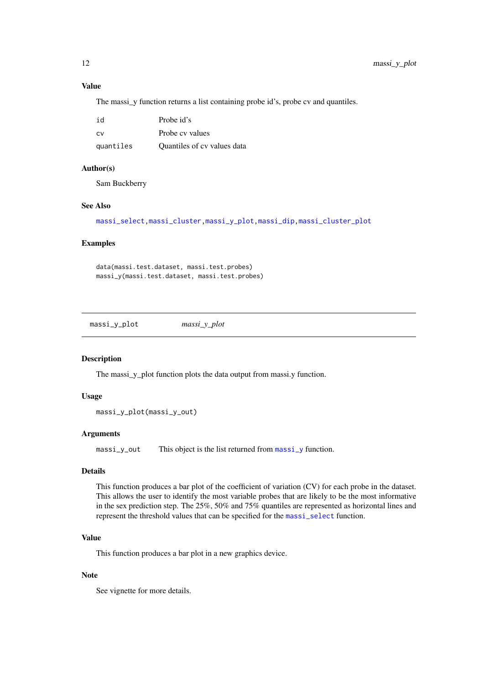# <span id="page-11-0"></span>Value

The massi\_y function returns a list containing probe id's, probe cv and quantiles.

| id        | Probe id's                  |
|-----------|-----------------------------|
| <b>CV</b> | Probe cy values             |
| quantiles | Quantiles of cy values data |

#### Author(s)

Sam Buckberry

# See Also

[massi\\_select](#page-9-1)[,massi\\_cluster,](#page-5-1)[massi\\_y\\_plot,](#page-11-1)[massi\\_dip](#page-8-1)[,massi\\_cluster\\_plot](#page-6-1)

#### Examples

```
data(massi.test.dataset, massi.test.probes)
massi_y(massi.test.dataset, massi.test.probes)
```
<span id="page-11-1"></span>massi\_y\_plot *massi\_y\_plot*

#### Description

The massi\_y\_plot function plots the data output from massi.y function.

#### Usage

```
massi_y_plot(massi_y_out)
```
### Arguments

[massi\\_y](#page-10-1)\_out This object is the list returned from massi\_y function.

# Details

This function produces a bar plot of the coefficient of variation (CV) for each probe in the dataset. This allows the user to identify the most variable probes that are likely to be the most informative in the sex prediction step. The 25%, 50% and 75% quantiles are represented as horizontal lines and represent the threshold values that can be specified for the [massi\\_select](#page-9-1) function.

# Value

This function produces a bar plot in a new graphics device.

#### Note

See vignette for more details.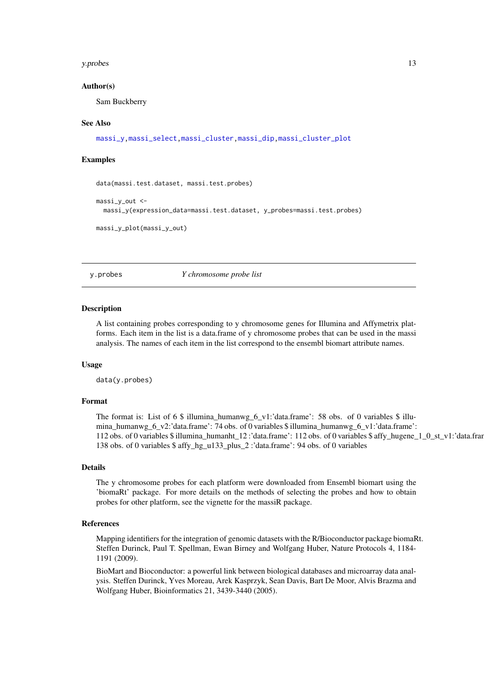#### <span id="page-12-0"></span>y.probes 13

#### Author(s)

Sam Buckberry

# See Also

```
massi_y,massi_select,massi_cluster,massi_dip,massi_cluster_plot
```
#### Examples

```
data(massi.test.dataset, massi.test.probes)
massi v out <-
  massi_y(expression_data=massi.test.dataset, y_probes=massi.test.probes)
massi_y_plot(massi_y_out)
```
<span id="page-12-1"></span>y.probes *Y chromosome probe list*

#### Description

A list containing probes corresponding to y chromosome genes for Illumina and Affymetrix platforms. Each item in the list is a data.frame of y chromosome probes that can be used in the massi analysis. The names of each item in the list correspond to the ensembl biomart attribute names.

#### Usage

data(y.probes)

#### Format

The format is: List of 6 \$ illumina humanwg 6 v1:'data.frame': 58 obs. of 0 variables \$ illumina\_humanwg\_6\_v2:'data.frame': 74 obs. of 0 variables \$ illumina\_humanwg\_6\_v1:'data.frame': 112 obs. of 0 variables \$ illumina\_humanht\_12 :'data.frame': 112 obs. of 0 variables \$ affy\_hugene\_1\_0\_st\_v1:'data.frame': 138 obs. of 0 variables \$ affy\_hg\_u133\_plus\_2 :'data.frame': 94 obs. of 0 variables

#### Details

The y chromosome probes for each platform were downloaded from Ensembl biomart using the 'biomaRt' package. For more details on the methods of selecting the probes and how to obtain probes for other platform, see the vignette for the massiR package.

#### References

Mapping identifiers for the integration of genomic datasets with the R/Bioconductor package biomaRt. Steffen Durinck, Paul T. Spellman, Ewan Birney and Wolfgang Huber, Nature Protocols 4, 1184- 1191 (2009).

BioMart and Bioconductor: a powerful link between biological databases and microarray data analysis. Steffen Durinck, Yves Moreau, Arek Kasprzyk, Sean Davis, Bart De Moor, Alvis Brazma and Wolfgang Huber, Bioinformatics 21, 3439-3440 (2005).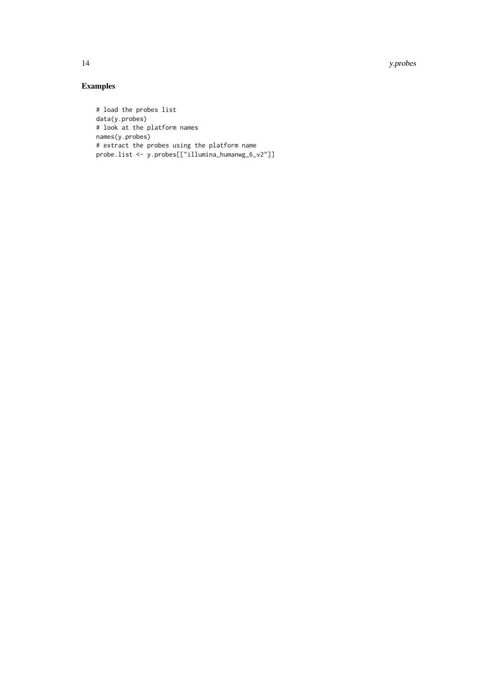14 y.probes

# Examples

```
# load the probes list
data(y.probes)
# look at the platform names
names(y.probes)
# extract the probes using the platform name
probe.list <- y.probes[["illumina_humanwg_6_v2"]]
```